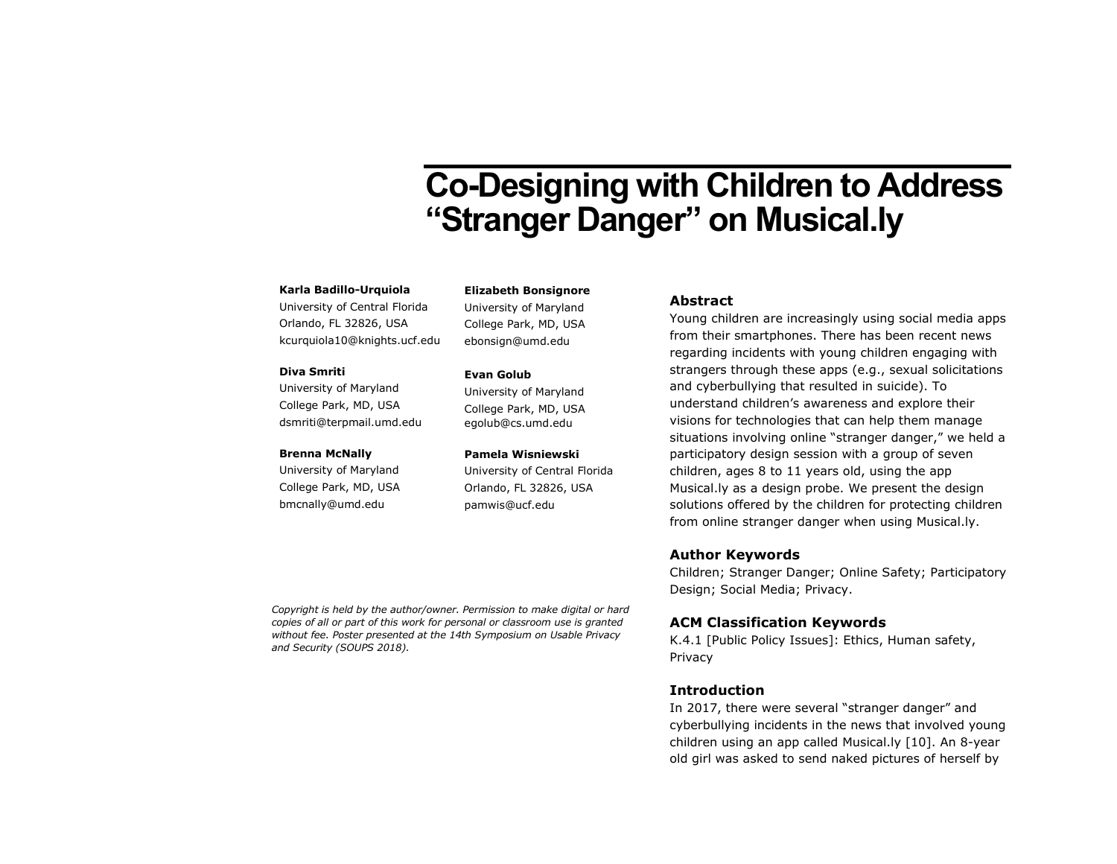# Co-Designing with Children to Address "Stranger Danger" on Musical.ly

#### **Karla Badillo-Urquiola**

University of Central Florida Orlando, FL 32826, USA kcurquiola10@knights.ucf.edu

#### **Diva Smriti**

University of Maryland College Park, MD, USA dsmriti@terpmail.umd.edu

#### **Brenna McNally**

University of Maryland College Park, MD, USA bmcnally@umd.edu

**Elizabeth Bonsignore** University of Maryland

College Park, MD, USA ebonsign@umd.edu

#### **Evan Golub**

University of Maryland College Park, MD, USA egolub@cs.umd.edu

#### **Pamela Wisniewski**

University of Central Florida Orlando, FL 32826, USA pamwis@ucf.edu

#### **Abstract**

Young children are increasingly using social media apps from their smartphones. There has been recent news regarding incidents with young children engaging with strangers through these apps (e.g., sexual solicitations and cyberbullying that resulted in suicide). To understand children's awareness and explore their visions for technologies that can help them manage situations involving online "stranger danger," we held a participatory design session with a group of seven children, ages 8 to 11 years old, using the app Musical.ly as a design probe. We present the design solutions offered by the children for protecting children from online stranger danger when using Musical.ly.

## **Author Keywords**

Children; Stranger Danger; Online Safety; Participatory Design; Social Media; Privacy.

## **ACM Classification Keywords**

K.4.1 [Public Policy Issues]: Ethics, Human safety, Privacy

## **Introduction**

In 2017, there were several "stranger danger" and cyberbullying incidents in the news that involved young children using an app called Musical.ly [10]. An 8-year old girl was asked to send naked pictures of herself by

*Copyright is held by the author/owner. Permission to make digital or hard copies of all or part of this work for personal or classroom use is granted without fee. Poster presented at the 14th Symposium on Usable Privacy and Security (SOUPS 2018).*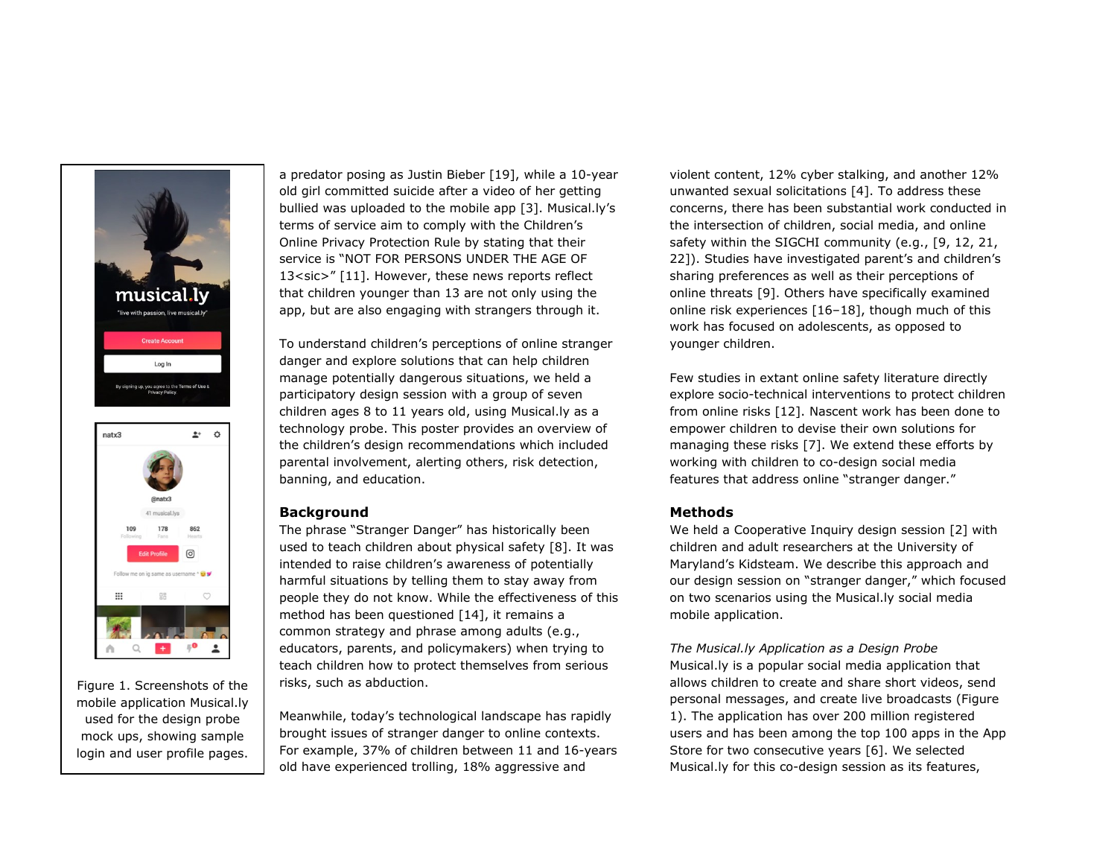



Figure 1. Screenshots of the mobile application Musical.ly used for the design probe mock ups, showing sample login and user profile pages. a predator posing as Justin Bieber [19], while a 10-year old girl committed suicide after a video of her getting bullied was uploaded to the mobile app [3]. Musical.ly's terms of service aim to comply with the Children's Online Privacy Protection Rule by stating that their service is "NOT FOR PERSONS UNDER THE AGE OF 13<sic>" [11]. However, these news reports reflect that children younger than 13 are not only using the app, but are also engaging with strangers through it.

To understand children's perceptions of online stranger danger and explore solutions that can help children manage potentially dangerous situations, we held a participatory design session with a group of seven children ages 8 to 11 years old, using Musical.ly as a technology probe. This poster provides an overview of the children's design recommendations which included parental involvement, alerting others, risk detection, banning, and education.

# **Background**

The phrase "Stranger Danger" has historically been used to teach children about physical safety [8]. It was intended to raise children's awareness of potentially harmful situations by telling them to stay away from people they do not know. While the effectiveness of this method has been questioned [14], it remains a common strategy and phrase among adults (e.g., educators, parents, and policymakers) when trying to teach children how to protect themselves from serious risks, such as abduction.

Meanwhile, today's technological landscape has rapidly brought issues of stranger danger to online contexts. For example, 37% of children between 11 and 16-years old have experienced trolling, 18% aggressive and

violent content, 12% cyber stalking, and another 12% unwanted sexual solicitations [4]. To address these concerns, there has been substantial work conducted in the intersection of children, social media, and online safety within the SIGCHI community (e.g., [9, 12, 21, 22]). Studies have investigated parent's and children's sharing preferences as well as their perceptions of online threats [9]. Others have specifically examined online risk experiences [16–18], though much of this work has focused on adolescents, as opposed to younger children.

Few studies in extant online safety literature directly explore socio-technical interventions to protect children from online risks [12]. Nascent work has been done to empower children to devise their own solutions for managing these risks [7]. We extend these efforts by working with children to co-design social media features that address online "stranger danger."

# **Methods**

We held a Cooperative Inquiry design session [2] with children and adult researchers at the University of Maryland's Kidsteam. We describe this approach and our design session on "stranger danger," which focused on two scenarios using the Musical.ly social media mobile application.

*The Musical.ly Application as a Design Probe* Musical.ly is a popular social media application that allows children to create and share short videos, send personal messages, and create live broadcasts (Figure 1). The application has over 200 million registered users and has been among the top 100 apps in the App Store for two consecutive years [6]. We selected Musical.ly for this co-design session as its features,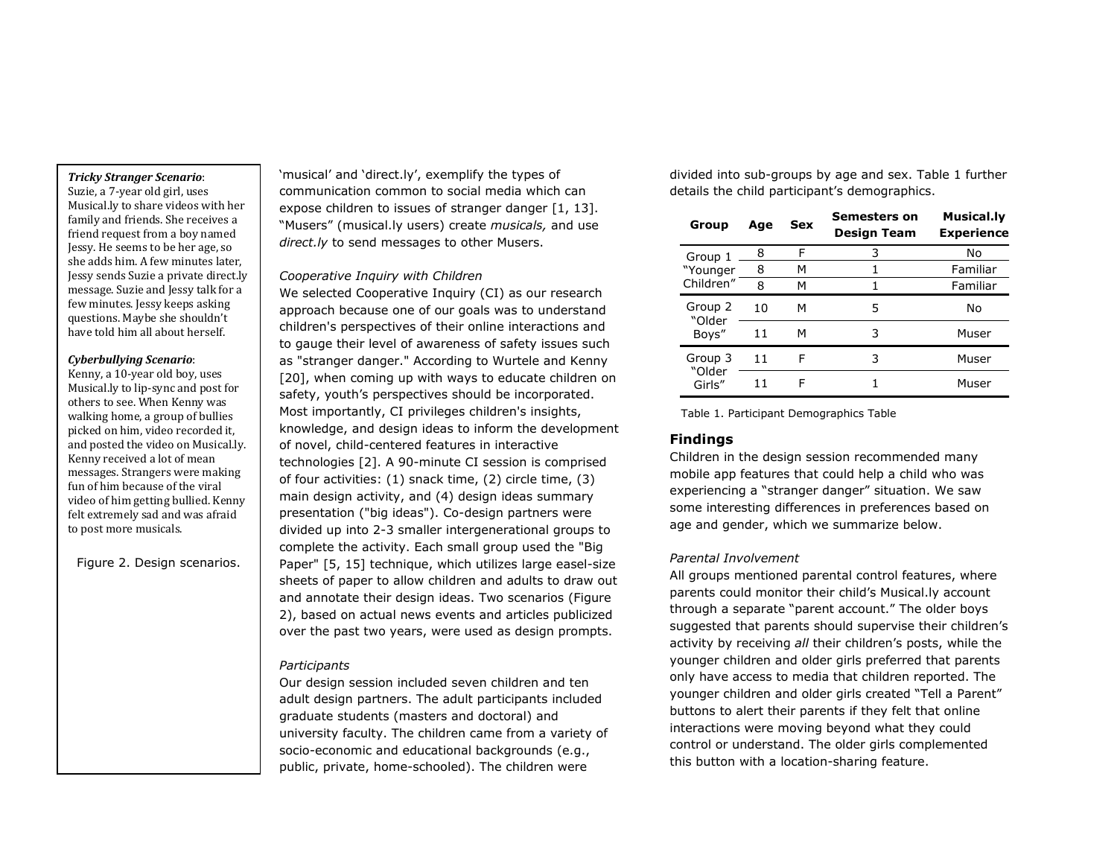#### *Tricky Stranger Scenario*:

Suzie, a 7-year old girl, uses Musical.ly to share videos with her family and friends. She receives a friend request from a boy named Jessy. He seems to be her age, so she adds him. A few minutes later, Jessy sends Suzie a private direct.ly message. Suzie and Jessy talk for a few minutes. Jessy keeps asking questions. Maybe she shouldn't have told him all about herself.

#### *Cyberbullying Scenario*:

Kenny, a 10-year old boy, uses Musical.ly to lip-sync and post for others to see. When Kenny was walking home, a group of bullies picked on him, video recorded it, and posted the video on Musical.ly. Kenny received a lot of mean messages. Strangers were making fun of him because of the viral video of him getting bullied. Kenny felt extremely sad and was afraid to post more musicals.

Figure 2. Design scenarios.

'musical' and 'direct.ly', exemplify the types of communication common to social media which can expose children to issues of stranger danger [1, 13]. "Musers" (musical.ly users) create *musicals,* and use *direct.ly* to send messages to other Musers.

# *Cooperative Inquiry with Children*

We selected Cooperative Inquiry (CI) as our research approach because one of our goals was to understand children's perspectives of their online interactions and to gauge their level of awareness of safety issues such as "stranger danger." According to Wurtele and Kenny [20], when coming up with ways to educate children on safety, youth's perspectives should be incorporated. Most importantly, CI privileges children's insights, knowledge, and design ideas to inform the development of novel, child-centered features in interactive technologies [2]. A 90-minute CI session is comprised of four activities: (1) snack time, (2) circle time, (3) main design activity, and (4) design ideas summary presentation ("big ideas"). Co-design partners were divided up into 2-3 smaller intergenerational groups to complete the activity. Each small group used the "Big Paper" [5, 15] technique, which utilizes large easel-size sheets of paper to allow children and adults to draw out and annotate their design ideas. Two scenarios (Figure 2), based on actual news events and articles publicized over the past two years, were used as design prompts.

## *Participants*

Our design session included seven children and ten adult design partners. The adult participants included graduate students (masters and doctoral) and university faculty. The children came from a variety of socio-economic and educational backgrounds (e.g., public, private, home-schooled). The children were

divided into sub-groups by age and sex. [Table 1](#page-2-0) further details the child participant's demographics.

| Group                            | Age | <b>Sex</b> | <b>Semesters on</b><br>Design Team | Musical.ly<br><b>Experience</b> |
|----------------------------------|-----|------------|------------------------------------|---------------------------------|
| Group 1<br>"Younger<br>Children" | 8   | F          | 3                                  | No                              |
|                                  | 8   | м          | 1                                  | Familiar                        |
|                                  | 8   | м          |                                    | Familiar                        |
| Group 2<br>"Older<br>Boys"       | 10  | м          | 5                                  | No                              |
|                                  | 11  | м          | 3                                  | Muser                           |
| Group 3<br>"Older<br>Girls"      | 11  | F          | 3                                  | Muser                           |
|                                  | 11  | F          |                                    | Muser                           |

<span id="page-2-0"></span>Table 1. Participant Demographics Table

# **Findings**

Children in the design session recommended many mobile app features that could help a child who was experiencing a "stranger danger" situation. We saw some interesting differences in preferences based on age and gender, which we summarize below.

# *Parental Involvement*

All groups mentioned parental control features, where parents could monitor their child's Musical.ly account through a separate "parent account." The older boys suggested that parents should supervise their children's activity by receiving *all* their children's posts, while the younger children and older girls preferred that parents only have access to media that children reported. The younger children and older girls created "Tell a Parent" buttons to alert their parents if they felt that online interactions were moving beyond what they could control or understand. The older girls complemented this button with a location-sharing feature.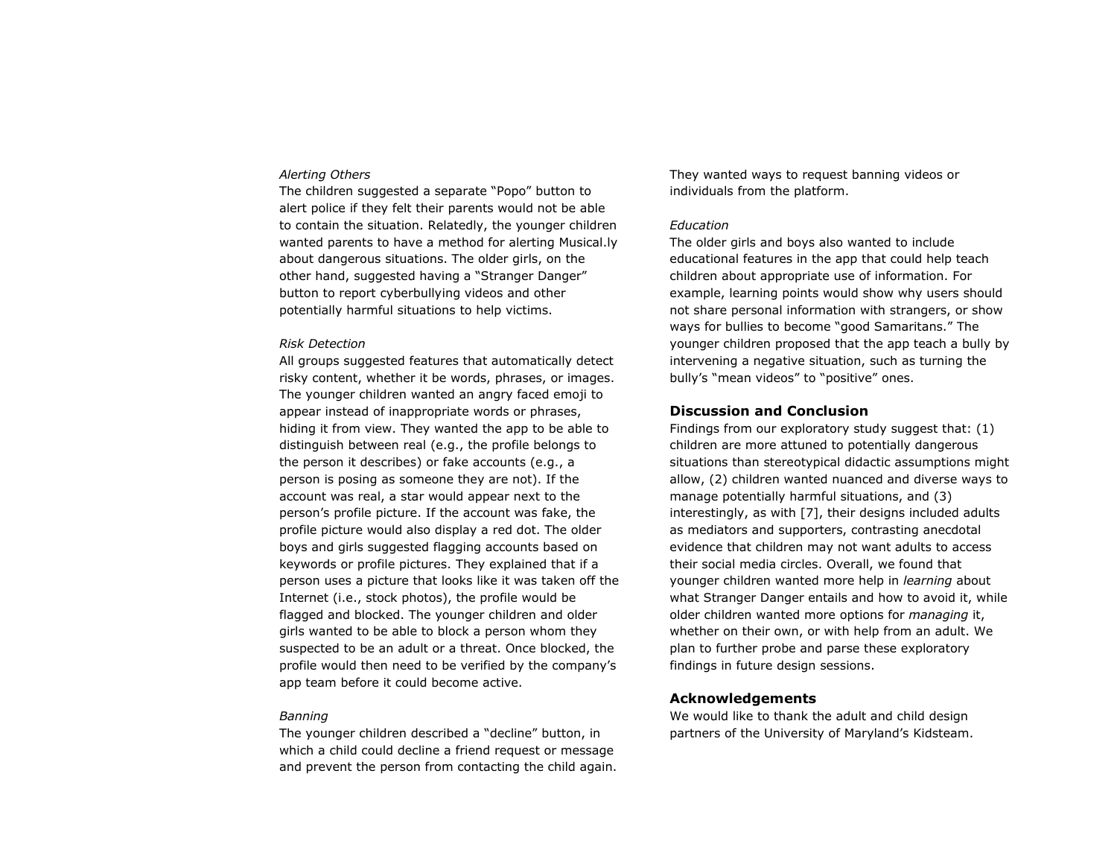## *Alerting Others*

The children suggested a separate "Popo" button to alert police if they felt their parents would not be able to contain the situation. Relatedly, the younger children wanted parents to have a method for alerting Musical.ly about dangerous situations. The older girls, on the other hand, suggested having a "Stranger Danger" button to report cyberbullying videos and other potentially harmful situations to help victims.

#### *Risk Detection*

All groups suggested features that automatically detect risky content, whether it be words, phrases, or images. The younger children wanted an angry faced emoji to appear instead of inappropriate words or phrases, hiding it from view. They wanted the app to be able to distinguish between real (e.g., the profile belongs to the person it describes) or fake accounts (e.g., a person is posing as someone they are not). If the account was real, a star would appear next to the person's profile picture. If the account was fake, the profile picture would also display a red dot. The older boys and girls suggested flagging accounts based on keywords or profile pictures. They explained that if a person uses a picture that looks like it was taken off the Internet (i.e., stock photos), the profile would be flagged and blocked. The younger children and older girls wanted to be able to block a person whom they suspected to be an adult or a threat. Once blocked, the profile would then need to be verified by the company's app team before it could become active.

#### *Banning*

The younger children described a "decline" button, in which a child could decline a friend request or message and prevent the person from contacting the child again. They wanted ways to request banning videos or individuals from the platform.

#### *Education*

The older girls and boys also wanted to include educational features in the app that could help teach children about appropriate use of information. For example, learning points would show why users should not share personal information with strangers, or show ways for bullies to become "good Samaritans." The younger children proposed that the app teach a bully by intervening a negative situation, such as turning the bully's "mean videos" to "positive" ones.

## **Discussion and Conclusion**

Findings from our exploratory study suggest that: (1) children are more attuned to potentially dangerous situations than stereotypical didactic assumptions might allow, (2) children wanted nuanced and diverse ways to manage potentially harmful situations, and (3) interestingly, as with [7], their designs included adults as mediators and supporters, contrasting anecdotal evidence that children may not want adults to access their social media circles. Overall, we found that younger children wanted more help in *learning* about what Stranger Danger entails and how to avoid it, while older children wanted more options for *managing* it, whether on their own, or with help from an adult. We plan to further probe and parse these exploratory findings in future design sessions.

## **Acknowledgements**

We would like to thank the adult and child design partners of the University of Maryland's Kidsteam.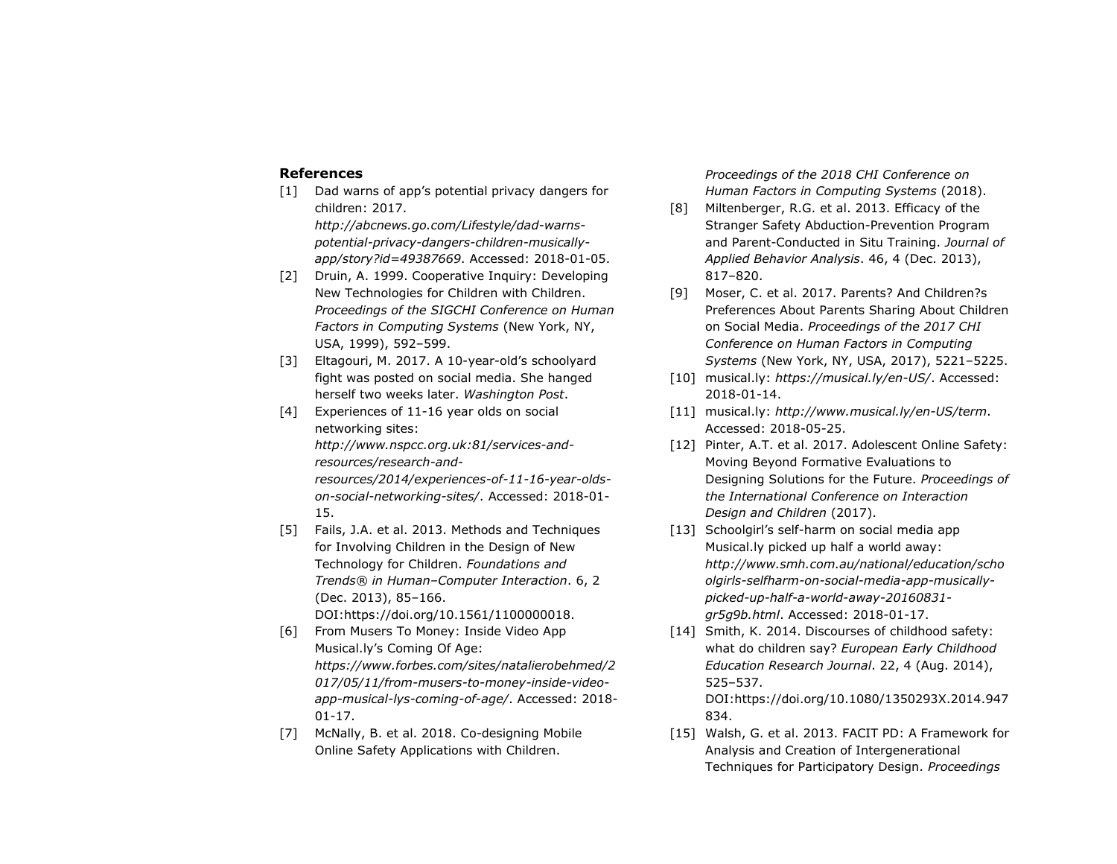# **References**

- [1] Dad warns of app's potential privacy dangers for children: 2017. *http://abcnews.go.com/Lifestyle/dad-warnspotential-privacy-dangers-children-musicallyapp/story?id=49387669*. Accessed: 2018-01-05.
- [2] Druin, A. 1999. Cooperative Inquiry: Developing New Technologies for Children with Children. *Proceedings of the SIGCHI Conference on Human Factors in Computing Systems* (New York, NY, USA, 1999), 592–599.
- [3] Eltagouri, M. 2017. A 10-year-old's schoolyard fight was posted on social media. She hanged herself two weeks later. *Washington Post*.
- [4] Experiences of 11-16 year olds on social networking sites: *http://www.nspcc.org.uk:81/services-andresources/research-andresources/2014/experiences-of-11-16-year-oldson-social-networking-sites/*. Accessed: 2018-01- 15.
- [5] Fails, J.A. et al. 2013. Methods and Techniques for Involving Children in the Design of New Technology for Children. *Foundations and Trends® in Human–Computer Interaction*. 6, 2 (Dec. 2013), 85–166. DOI:https://doi.org/10.1561/1100000018.
- [6] From Musers To Money: Inside Video App Musical.ly's Coming Of Age: *https://www.forbes.com/sites/natalierobehmed/2 017/05/11/from-musers-to-money-inside-videoapp-musical-lys-coming-of-age/*. Accessed: 2018- 01-17.
- [7] McNally, B. et al. 2018. Co-designing Mobile Online Safety Applications with Children.

*Proceedings of the 2018 CHI Conference on Human Factors in Computing Systems* (2018).

- [8] Miltenberger, R.G. et al. 2013. Efficacy of the Stranger Safety Abduction-Prevention Program and Parent-Conducted in Situ Training. *Journal of Applied Behavior Analysis*. 46, 4 (Dec. 2013), 817–820.
- [9] Moser, C. et al. 2017. Parents? And Children?s Preferences About Parents Sharing About Children on Social Media. *Proceedings of the 2017 CHI Conference on Human Factors in Computing Systems* (New York, NY, USA, 2017), 5221–5225.
- [10] musical.ly: *https://musical.ly/en-US/*. Accessed: 2018-01-14.
- [11] musical.ly: *http://www.musical.ly/en-US/term*. Accessed: 2018-05-25.
- [12] Pinter, A.T. et al. 2017. Adolescent Online Safety: Moving Beyond Formative Evaluations to Designing Solutions for the Future. *Proceedings of the International Conference on Interaction Design and Children* (2017).
- [13] Schoolgirl's self-harm on social media app Musical.ly picked up half a world away: *http://www.smh.com.au/national/education/scho olgirls-selfharm-on-social-media-app-musicallypicked-up-half-a-world-away-20160831 gr5g9b.html*. Accessed: 2018-01-17.
- [14] Smith, K. 2014. Discourses of childhood safety: what do children say? *European Early Childhood Education Research Journal*. 22, 4 (Aug. 2014), 525–537. DOI:https://doi.org/10.1080/1350293X.2014.947
- [15] Walsh, G. et al. 2013. FACIT PD: A Framework for Analysis and Creation of Intergenerational Techniques for Participatory Design. *Proceedings*

834.